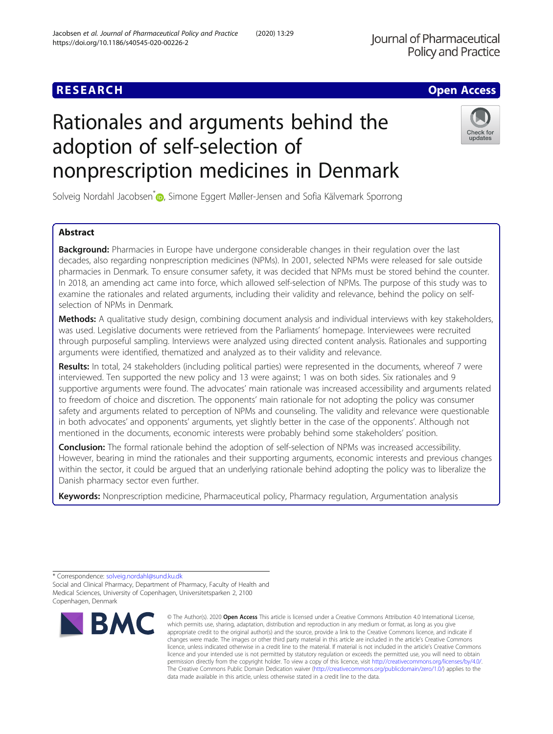## **RESEARCH CHE Open Access**

# Rationales and arguments behind the adoption of self-selection of nonprescription medicines in Denmark

Solveig Nordahl Jacobsen<sup>\*</sup> <sub>(D</sub>)[,](http://orcid.org/0000-0003-2989-5701) Simone Eggert Møller-Jensen and Sofia Kälvemark Sporrong

## Abstract

**Background:** Pharmacies in Europe have undergone considerable changes in their regulation over the last decades, also regarding nonprescription medicines (NPMs). In 2001, selected NPMs were released for sale outside pharmacies in Denmark. To ensure consumer safety, it was decided that NPMs must be stored behind the counter. In 2018, an amending act came into force, which allowed self-selection of NPMs. The purpose of this study was to examine the rationales and related arguments, including their validity and relevance, behind the policy on selfselection of NPMs in Denmark.

Methods: A qualitative study design, combining document analysis and individual interviews with key stakeholders, was used. Legislative documents were retrieved from the Parliaments' homepage. Interviewees were recruited through purposeful sampling. Interviews were analyzed using directed content analysis. Rationales and supporting arguments were identified, thematized and analyzed as to their validity and relevance.

Results: In total, 24 stakeholders (including political parties) were represented in the documents, whereof 7 were interviewed. Ten supported the new policy and 13 were against; 1 was on both sides. Six rationales and 9 supportive arguments were found. The advocates' main rationale was increased accessibility and arguments related to freedom of choice and discretion. The opponents' main rationale for not adopting the policy was consumer safety and arguments related to perception of NPMs and counseling. The validity and relevance were questionable in both advocates' and opponents' arguments, yet slightly better in the case of the opponents'. Although not mentioned in the documents, economic interests were probably behind some stakeholders' position.

**Conclusion:** The formal rationale behind the adoption of self-selection of NPMs was increased accessibility. However, bearing in mind the rationales and their supporting arguments, economic interests and previous changes within the sector, it could be argued that an underlying rationale behind adopting the policy was to liberalize the Danish pharmacy sector even further.

Keywords: Nonprescription medicine, Pharmaceutical policy, Pharmacy regulation, Argumentation analysis

\* Correspondence: [solveig.nordahl@sund.ku.dk](mailto:solveig.nordahl@sund.ku.dk)

**BMC** 

Social and Clinical Pharmacy, Department of Pharmacy, Faculty of Health and Medical Sciences, University of Copenhagen, Universitetsparken 2, 2100 Copenhagen, Denmark



## Jacobsen et al. Journal of Pharmaceutical Policy and Practice (2020) 13:29 https://doi.org/10.1186/s40545-020-00226-2



Check for

updates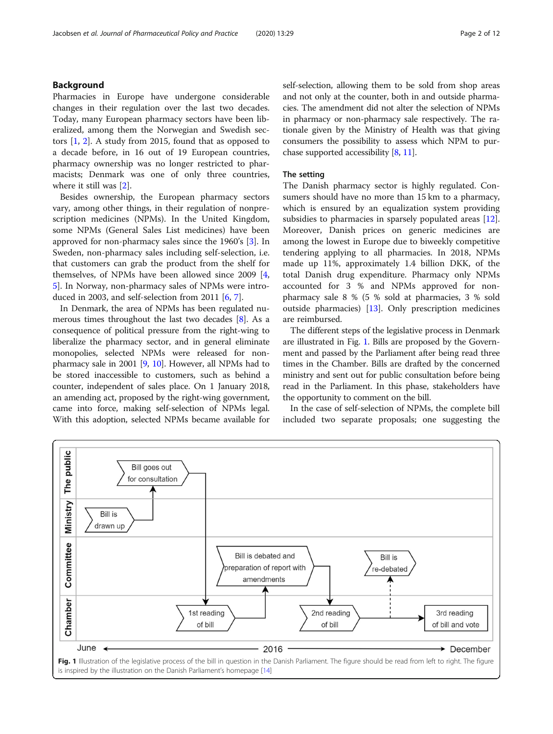## Background

Pharmacies in Europe have undergone considerable changes in their regulation over the last two decades. Today, many European pharmacy sectors have been liberalized, among them the Norwegian and Swedish sectors [[1,](#page-10-0) [2](#page-10-0)]. A study from 2015, found that as opposed to a decade before, in 16 out of 19 European countries, pharmacy ownership was no longer restricted to pharmacists; Denmark was one of only three countries, where it still was [[2\]](#page-10-0).

Besides ownership, the European pharmacy sectors vary, among other things, in their regulation of nonprescription medicines (NPMs). In the United Kingdom, some NPMs (General Sales List medicines) have been approved for non-pharmacy sales since the 1960's [\[3](#page-10-0)]. In Sweden, non-pharmacy sales including self-selection, i.e. that customers can grab the product from the shelf for themselves, of NPMs have been allowed since 2009 [\[4](#page-10-0), [5\]](#page-10-0). In Norway, non-pharmacy sales of NPMs were introduced in 2003, and self-selection from 2011  $[6, 7]$  $[6, 7]$  $[6, 7]$  $[6, 7]$ .

In Denmark, the area of NPMs has been regulated numerous times throughout the last two decades [\[8](#page-10-0)]. As a consequence of political pressure from the right-wing to liberalize the pharmacy sector, and in general eliminate monopolies, selected NPMs were released for nonpharmacy sale in 2001 [[9,](#page-10-0) [10\]](#page-10-0). However, all NPMs had to be stored inaccessible to customers, such as behind a counter, independent of sales place. On 1 January 2018, an amending act, proposed by the right-wing government, came into force, making self-selection of NPMs legal. With this adoption, selected NPMs became available for self-selection, allowing them to be sold from shop areas and not only at the counter, both in and outside pharmacies. The amendment did not alter the selection of NPMs in pharmacy or non-pharmacy sale respectively. The rationale given by the Ministry of Health was that giving consumers the possibility to assess which NPM to purchase supported accessibility [[8,](#page-10-0) [11\]](#page-10-0).

## The setting

The Danish pharmacy sector is highly regulated. Consumers should have no more than 15 km to a pharmacy, which is ensured by an equalization system providing subsidies to pharmacies in sparsely populated areas [\[12](#page-10-0)]. Moreover, Danish prices on generic medicines are among the lowest in Europe due to biweekly competitive tendering applying to all pharmacies. In 2018, NPMs made up 11%, approximately 1.4 billion DKK, of the total Danish drug expenditure. Pharmacy only NPMs accounted for 3 % and NPMs approved for nonpharmacy sale 8 % (5 % sold at pharmacies, 3 % sold outside pharmacies) [\[13](#page-11-0)]. Only prescription medicines are reimbursed.

The different steps of the legislative process in Denmark are illustrated in Fig. 1. Bills are proposed by the Government and passed by the Parliament after being read three times in the Chamber. Bills are drafted by the concerned ministry and sent out for public consultation before being read in the Parliament. In this phase, stakeholders have the opportunity to comment on the bill.

In the case of self-selection of NPMs, the complete bill included two separate proposals; one suggesting the

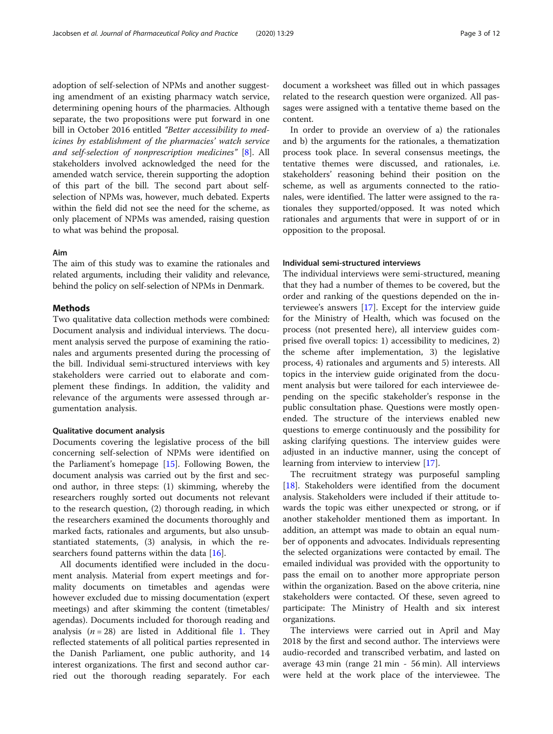adoption of self-selection of NPMs and another suggesting amendment of an existing pharmacy watch service, determining opening hours of the pharmacies. Although separate, the two propositions were put forward in one bill in October 2016 entitled "Better accessibility to medicines by establishment of the pharmacies' watch service and self-selection of nonprescription medicines" [\[8](#page-10-0)]. All stakeholders involved acknowledged the need for the amended watch service, therein supporting the adoption of this part of the bill. The second part about selfselection of NPMs was, however, much debated. Experts within the field did not see the need for the scheme, as only placement of NPMs was amended, raising question to what was behind the proposal.

## Aim

The aim of this study was to examine the rationales and related arguments, including their validity and relevance, behind the policy on self-selection of NPMs in Denmark.

## Methods

Two qualitative data collection methods were combined: Document analysis and individual interviews. The document analysis served the purpose of examining the rationales and arguments presented during the processing of the bill. Individual semi-structured interviews with key stakeholders were carried out to elaborate and complement these findings. In addition, the validity and relevance of the arguments were assessed through argumentation analysis.

## Qualitative document analysis

Documents covering the legislative process of the bill concerning self-selection of NPMs were identified on the Parliament's homepage [[15](#page-11-0)]. Following Bowen, the document analysis was carried out by the first and second author, in three steps: (1) skimming, whereby the researchers roughly sorted out documents not relevant to the research question, (2) thorough reading, in which the researchers examined the documents thoroughly and marked facts, rationales and arguments, but also unsubstantiated statements, (3) analysis, in which the researchers found patterns within the data [\[16](#page-11-0)].

All documents identified were included in the document analysis. Material from expert meetings and formality documents on timetables and agendas were however excluded due to missing documentation (expert meetings) and after skimming the content (timetables/ agendas). Documents included for thorough reading and analysis ( $n = 28$ ) are listed in Additional file [1.](#page-10-0) They reflected statements of all political parties represented in the Danish Parliament, one public authority, and 14 interest organizations. The first and second author carried out the thorough reading separately. For each document a worksheet was filled out in which passages related to the research question were organized. All passages were assigned with a tentative theme based on the content.

In order to provide an overview of a) the rationales and b) the arguments for the rationales, a thematization process took place. In several consensus meetings, the tentative themes were discussed, and rationales, i.e. stakeholders' reasoning behind their position on the scheme, as well as arguments connected to the rationales, were identified. The latter were assigned to the rationales they supported/opposed. It was noted which rationales and arguments that were in support of or in opposition to the proposal.

## Individual semi-structured interviews

The individual interviews were semi-structured, meaning that they had a number of themes to be covered, but the order and ranking of the questions depended on the interviewee's answers [\[17\]](#page-11-0). Except for the interview guide for the Ministry of Health, which was focused on the process (not presented here), all interview guides comprised five overall topics: 1) accessibility to medicines, 2) the scheme after implementation, 3) the legislative process, 4) rationales and arguments and 5) interests. All topics in the interview guide originated from the document analysis but were tailored for each interviewee depending on the specific stakeholder's response in the public consultation phase. Questions were mostly openended. The structure of the interviews enabled new questions to emerge continuously and the possibility for asking clarifying questions. The interview guides were adjusted in an inductive manner, using the concept of learning from interview to interview [[17\]](#page-11-0).

The recruitment strategy was purposeful sampling [[18\]](#page-11-0). Stakeholders were identified from the document analysis. Stakeholders were included if their attitude towards the topic was either unexpected or strong, or if another stakeholder mentioned them as important. In addition, an attempt was made to obtain an equal number of opponents and advocates. Individuals representing the selected organizations were contacted by email. The emailed individual was provided with the opportunity to pass the email on to another more appropriate person within the organization. Based on the above criteria, nine stakeholders were contacted. Of these, seven agreed to participate: The Ministry of Health and six interest organizations.

The interviews were carried out in April and May 2018 by the first and second author. The interviews were audio-recorded and transcribed verbatim, and lasted on average 43 min (range 21 min - 56 min). All interviews were held at the work place of the interviewee. The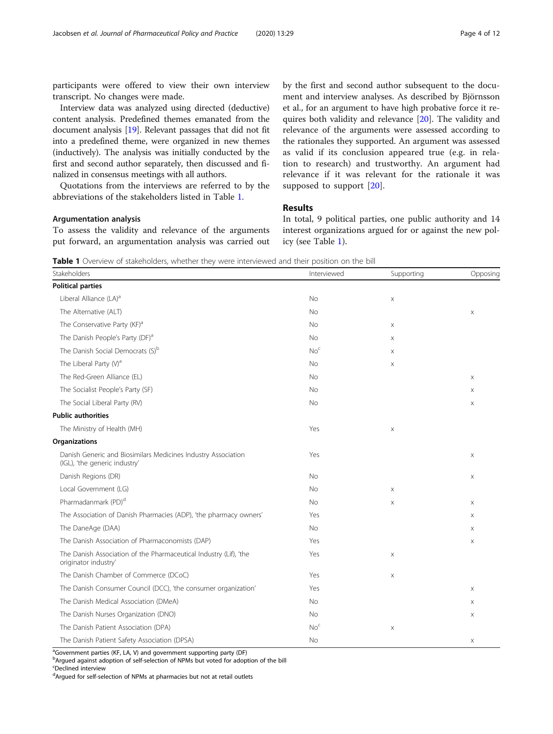participants were offered to view their own interview transcript. No changes were made.

Interview data was analyzed using directed (deductive) content analysis. Predefined themes emanated from the document analysis [[19](#page-11-0)]. Relevant passages that did not fit into a predefined theme, were organized in new themes (inductively). The analysis was initially conducted by the first and second author separately, then discussed and finalized in consensus meetings with all authors.

Quotations from the interviews are referred to by the abbreviations of the stakeholders listed in Table 1.

## Argumentation analysis

To assess the validity and relevance of the arguments put forward, an argumentation analysis was carried out by the first and second author subsequent to the document and interview analyses. As described by Björnsson et al., for an argument to have high probative force it requires both validity and relevance [\[20\]](#page-11-0). The validity and relevance of the arguments were assessed according to the rationales they supported. An argument was assessed as valid if its conclusion appeared true (e.g. in relation to research) and trustworthy. An argument had relevance if it was relevant for the rationale it was supposed to support [[20](#page-11-0)].

## Results

In total, 9 political parties, one public authority and 14 interest organizations argued for or against the new policy (see Table 1).

**Table 1** Overview of stakeholders, whether they were interviewed and their position on the bill

| Stakeholders                                                                                   | Interviewed     | Supporting                | Opposing              |
|------------------------------------------------------------------------------------------------|-----------------|---------------------------|-----------------------|
| <b>Political parties</b>                                                                       |                 |                           |                       |
| Liberal Alliance (LA) <sup>a</sup>                                                             | No              | $\boldsymbol{\times}$     |                       |
| The Alternative (ALT)                                                                          | <b>No</b>       |                           | X                     |
| The Conservative Party (KF) <sup>a</sup>                                                       | <b>No</b>       | X                         |                       |
| The Danish People's Party (DF) <sup>a</sup>                                                    | <b>No</b>       | X                         |                       |
| The Danish Social Democrats (S) <sup>b</sup>                                                   | No <sup>c</sup> | X                         |                       |
| The Liberal Party $(V)^a$                                                                      | <b>No</b>       | $\times$                  |                       |
| The Red-Green Alliance (EL)                                                                    | No              |                           | X                     |
| The Socialist People's Party (SF)                                                              | No              |                           | X                     |
| The Social Liberal Party (RV)                                                                  | <b>No</b>       |                           | X                     |
| <b>Public authorities</b>                                                                      |                 |                           |                       |
| The Ministry of Health (MH)                                                                    | Yes             | $\boldsymbol{\times}$     |                       |
| <b>Organizations</b>                                                                           |                 |                           |                       |
| Danish Generic and Biosimilars Medicines Industry Association<br>(IGL), 'the generic industry' | Yes             |                           | X                     |
| Danish Regions (DR)                                                                            | No              |                           | X                     |
| Local Government (LG)                                                                          | <b>No</b>       | $\times$                  |                       |
| Pharmadanmark (PD) <sup>d</sup>                                                                | <b>No</b>       | X                         | X                     |
| The Association of Danish Pharmacies (ADP), 'the pharmacy owners'                              | Yes             |                           | X                     |
| The DaneAge (DAA)                                                                              | <b>No</b>       |                           | X                     |
| The Danish Association of Pharmaconomists (DAP)                                                | Yes             |                           | X                     |
| The Danish Association of the Pharmaceutical Industry (Lif), 'the<br>originator industry'      | Yes             | $\boldsymbol{\times}$     |                       |
| The Danish Chamber of Commerce (DCoC)                                                          | Yes             | $\boldsymbol{\mathsf{X}}$ |                       |
| The Danish Consumer Council (DCC), 'the consumer organization'                                 | Yes             |                           | X                     |
| The Danish Medical Association (DMeA)                                                          | <b>No</b>       |                           | X                     |
| The Danish Nurses Organization (DNO)                                                           | <b>No</b>       |                           | X                     |
| The Danish Patient Association (DPA)                                                           | No <sup>c</sup> | X                         |                       |
| The Danish Patient Safety Association (DPSA)                                                   | No              |                           | $\boldsymbol{\times}$ |

<sup>a</sup>Government parties (KF, LA, V) and government supporting party (DF)

<sup>b</sup>Argued against adoption of self-selection of NPMs but voted for adoption of the bill

c Declined interview

<sup>d</sup>Argued for self-selection of NPMs at pharmacies but not at retail outlets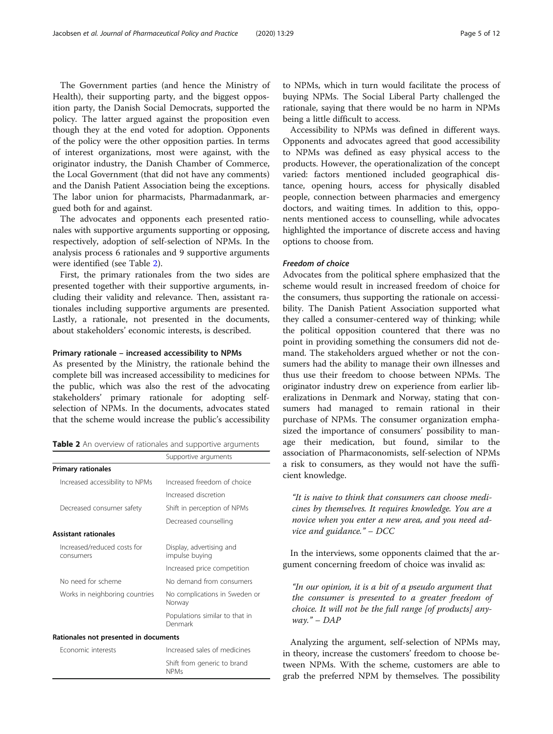The Government parties (and hence the Ministry of Health), their supporting party, and the biggest opposition party, the Danish Social Democrats, supported the policy. The latter argued against the proposition even though they at the end voted for adoption. Opponents of the policy were the other opposition parties. In terms of interest organizations, most were against, with the originator industry, the Danish Chamber of Commerce, the Local Government (that did not have any comments) and the Danish Patient Association being the exceptions. The labor union for pharmacists, Pharmadanmark, argued both for and against.

The advocates and opponents each presented rationales with supportive arguments supporting or opposing, respectively, adoption of self-selection of NPMs. In the analysis process 6 rationales and 9 supportive arguments were identified (see Table 2).

First, the primary rationales from the two sides are presented together with their supportive arguments, including their validity and relevance. Then, assistant rationales including supportive arguments are presented. Lastly, a rationale, not presented in the documents, about stakeholders' economic interests, is described.

## Primary rationale – increased accessibility to NPMs

As presented by the Ministry, the rationale behind the complete bill was increased accessibility to medicines for the public, which was also the rest of the advocating stakeholders' primary rationale for adopting selfselection of NPMs. In the documents, advocates stated that the scheme would increase the public's accessibility

Table 2 An overview of rationales and supportive arguments

|                                          | Supportive arguments                       |  |  |
|------------------------------------------|--------------------------------------------|--|--|
| <b>Primary rationales</b>                |                                            |  |  |
| Increased accessibility to NPMs          | Increased freedom of choice                |  |  |
|                                          | Increased discretion                       |  |  |
| Decreased consumer safety                | Shift in perception of NPMs                |  |  |
|                                          | Decreased counselling                      |  |  |
| <b>Assistant rationales</b>              |                                            |  |  |
| Increased/reduced costs for<br>consumers | Display, advertising and<br>impulse buying |  |  |
|                                          | Increased price competition                |  |  |
| No need for scheme                       | No demand from consumers                   |  |  |
| Works in neighboring countries           | No complications in Sweden or<br>Norway    |  |  |
|                                          | Populations similar to that in<br>Denmark  |  |  |
| Rationales not presented in documents    |                                            |  |  |
| <b>Fconomic interests</b>                | Increased sales of medicines               |  |  |
|                                          | Shift from generic to brand<br><b>NPMs</b> |  |  |

to NPMs, which in turn would facilitate the process of buying NPMs. The Social Liberal Party challenged the rationale, saying that there would be no harm in NPMs being a little difficult to access.

Accessibility to NPMs was defined in different ways. Opponents and advocates agreed that good accessibility to NPMs was defined as easy physical access to the products. However, the operationalization of the concept varied: factors mentioned included geographical distance, opening hours, access for physically disabled people, connection between pharmacies and emergency doctors, and waiting times. In addition to this, opponents mentioned access to counselling, while advocates highlighted the importance of discrete access and having options to choose from.

## Freedom of choice

Advocates from the political sphere emphasized that the scheme would result in increased freedom of choice for the consumers, thus supporting the rationale on accessibility. The Danish Patient Association supported what they called a consumer-centered way of thinking; while the political opposition countered that there was no point in providing something the consumers did not demand. The stakeholders argued whether or not the consumers had the ability to manage their own illnesses and thus use their freedom to choose between NPMs. The originator industry drew on experience from earlier liberalizations in Denmark and Norway, stating that consumers had managed to remain rational in their purchase of NPMs. The consumer organization emphasized the importance of consumers' possibility to manage their medication, but found, similar to the association of Pharmaconomists, self-selection of NPMs a risk to consumers, as they would not have the sufficient knowledge.

"It is naive to think that consumers can choose medicines by themselves. It requires knowledge. You are a novice when you enter a new area, and you need advice and guidance." – DCC

In the interviews, some opponents claimed that the argument concerning freedom of choice was invalid as:

"In our opinion, it is a bit of a pseudo argument that the consumer is presented to a greater freedom of choice. It will not be the full range [of products] anyway." –  $DAP$ 

Analyzing the argument, self-selection of NPMs may, in theory, increase the customers' freedom to choose between NPMs. With the scheme, customers are able to grab the preferred NPM by themselves. The possibility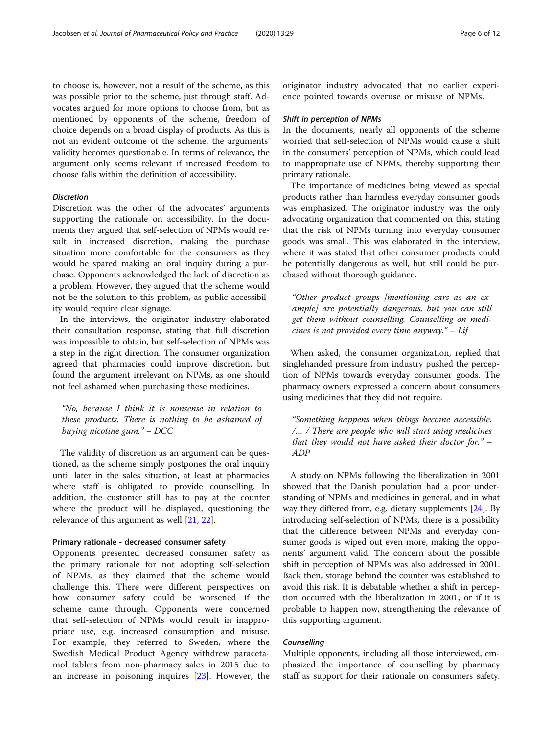to choose is, however, not a result of the scheme, as this was possible prior to the scheme, just through staff. Advocates argued for more options to choose from, but as mentioned by opponents of the scheme, freedom of choice depends on a broad display of products. As this is not an evident outcome of the scheme, the arguments' validity becomes questionable. In terms of relevance, the argument only seems relevant if increased freedom to choose falls within the definition of accessibility.

## Discretion

Discretion was the other of the advocates' arguments supporting the rationale on accessibility. In the documents they argued that self-selection of NPMs would result in increased discretion, making the purchase situation more comfortable for the consumers as they would be spared making an oral inquiry during a purchase. Opponents acknowledged the lack of discretion as a problem. However, they argued that the scheme would not be the solution to this problem, as public accessibility would require clear signage.

In the interviews, the originator industry elaborated their consultation response, stating that full discretion was impossible to obtain, but self-selection of NPMs was a step in the right direction. The consumer organization agreed that pharmacies could improve discretion, but found the argument irrelevant on NPMs, as one should not feel ashamed when purchasing these medicines.

"No, because I think it is nonsense in relation to these products. There is nothing to be ashamed of buying nicotine gum." – DCC

The validity of discretion as an argument can be questioned, as the scheme simply postpones the oral inquiry until later in the sales situation, at least at pharmacies where staff is obligated to provide counselling. In addition, the customer still has to pay at the counter where the product will be displayed, questioning the relevance of this argument as well [\[21](#page-11-0), [22\]](#page-11-0).

#### Primary rationale - decreased consumer safety

Opponents presented decreased consumer safety as the primary rationale for not adopting self-selection of NPMs, as they claimed that the scheme would challenge this. There were different perspectives on how consumer safety could be worsened if the scheme came through. Opponents were concerned that self-selection of NPMs would result in inappropriate use, e.g. increased consumption and misuse. For example, they referred to Sweden, where the Swedish Medical Product Agency withdrew paracetamol tablets from non-pharmacy sales in 2015 due to an increase in poisoning inquires [\[23](#page-11-0)]. However, the originator industry advocated that no earlier experience pointed towards overuse or misuse of NPMs.

#### Shift in perception of NPMs

In the documents, nearly all opponents of the scheme worried that self-selection of NPMs would cause a shift in the consumers' perception of NPMs, which could lead to inappropriate use of NPMs, thereby supporting their primary rationale.

The importance of medicines being viewed as special products rather than harmless everyday consumer goods was emphasized. The originator industry was the only advocating organization that commented on this, stating that the risk of NPMs turning into everyday consumer goods was small. This was elaborated in the interview, where it was stated that other consumer products could be potentially dangerous as well, but still could be purchased without thorough guidance.

"Other product groups [mentioning cars as an example] are potentially dangerous, but you can still get them without counselling. Counselling on medicines is not provided every time anyway."  $-$  Lif

When asked, the consumer organization, replied that singlehanded pressure from industry pushed the perception of NPMs towards everyday consumer goods. The pharmacy owners expressed a concern about consumers using medicines that they did not require.

"Something happens when things become accessible. /… / There are people who will start using medicines that they would not have asked their doctor for." – ADP

A study on NPMs following the liberalization in 2001 showed that the Danish population had a poor understanding of NPMs and medicines in general, and in what way they differed from, e.g. dietary supplements [[24\]](#page-11-0). By introducing self-selection of NPMs, there is a possibility that the difference between NPMs and everyday consumer goods is wiped out even more, making the opponents' argument valid. The concern about the possible shift in perception of NPMs was also addressed in 2001. Back then, storage behind the counter was established to avoid this risk. It is debatable whether a shift in perception occurred with the liberalization in 2001, or if it is probable to happen now, strengthening the relevance of this supporting argument.

## **Counselling**

Multiple opponents, including all those interviewed, emphasized the importance of counselling by pharmacy staff as support for their rationale on consumers safety.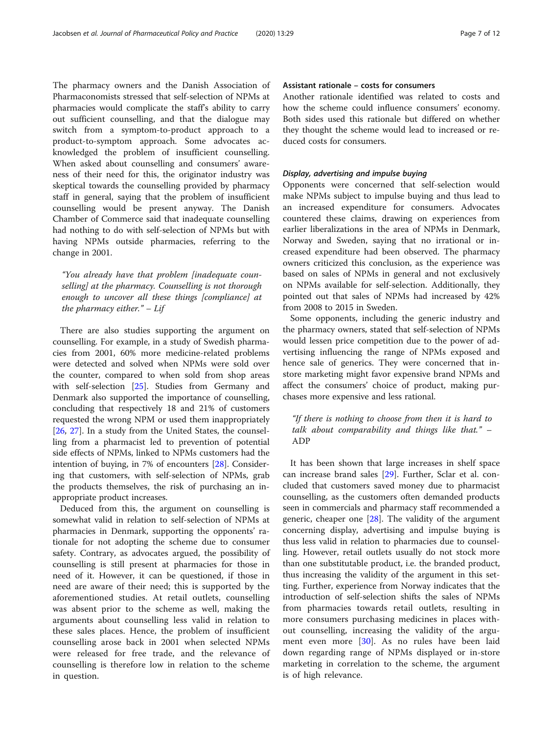The pharmacy owners and the Danish Association of Pharmaconomists stressed that self-selection of NPMs at pharmacies would complicate the staff's ability to carry out sufficient counselling, and that the dialogue may switch from a symptom-to-product approach to a product-to-symptom approach. Some advocates acknowledged the problem of insufficient counselling. When asked about counselling and consumers' awareness of their need for this, the originator industry was skeptical towards the counselling provided by pharmacy staff in general, saying that the problem of insufficient counselling would be present anyway. The Danish Chamber of Commerce said that inadequate counselling had nothing to do with self-selection of NPMs but with having NPMs outside pharmacies, referring to the change in 2001.

"You already have that problem [inadequate counselling] at the pharmacy. Counselling is not thorough enough to uncover all these things [compliance] at the pharmacy either."  $-$  Lif

There are also studies supporting the argument on counselling. For example, in a study of Swedish pharmacies from 2001, 60% more medicine-related problems were detected and solved when NPMs were sold over the counter, compared to when sold from shop areas with self-selection [[25\]](#page-11-0). Studies from Germany and Denmark also supported the importance of counselling, concluding that respectively 18 and 21% of customers requested the wrong NPM or used them inappropriately [[26,](#page-11-0) [27](#page-11-0)]. In a study from the United States, the counselling from a pharmacist led to prevention of potential side effects of NPMs, linked to NPMs customers had the intention of buying, in 7% of encounters [[28](#page-11-0)]. Considering that customers, with self-selection of NPMs, grab the products themselves, the risk of purchasing an inappropriate product increases.

Deduced from this, the argument on counselling is somewhat valid in relation to self-selection of NPMs at pharmacies in Denmark, supporting the opponents' rationale for not adopting the scheme due to consumer safety. Contrary, as advocates argued, the possibility of counselling is still present at pharmacies for those in need of it. However, it can be questioned, if those in need are aware of their need; this is supported by the aforementioned studies. At retail outlets, counselling was absent prior to the scheme as well, making the arguments about counselling less valid in relation to these sales places. Hence, the problem of insufficient counselling arose back in 2001 when selected NPMs were released for free trade, and the relevance of counselling is therefore low in relation to the scheme in question.

## Assistant rationale – costs for consumers

Another rationale identified was related to costs and how the scheme could influence consumers' economy. Both sides used this rationale but differed on whether they thought the scheme would lead to increased or reduced costs for consumers.

## Display, advertising and impulse buying

Opponents were concerned that self-selection would make NPMs subject to impulse buying and thus lead to an increased expenditure for consumers. Advocates countered these claims, drawing on experiences from earlier liberalizations in the area of NPMs in Denmark, Norway and Sweden, saying that no irrational or increased expenditure had been observed. The pharmacy owners criticized this conclusion, as the experience was based on sales of NPMs in general and not exclusively on NPMs available for self-selection. Additionally, they pointed out that sales of NPMs had increased by 42% from 2008 to 2015 in Sweden.

Some opponents, including the generic industry and the pharmacy owners, stated that self-selection of NPMs would lessen price competition due to the power of advertising influencing the range of NPMs exposed and hence sale of generics. They were concerned that instore marketing might favor expensive brand NPMs and affect the consumers' choice of product, making purchases more expensive and less rational.

"If there is nothing to choose from then it is hard to talk about comparability and things like that." – ADP

It has been shown that large increases in shelf space can increase brand sales [[29](#page-11-0)]. Further, Sclar et al. concluded that customers saved money due to pharmacist counselling, as the customers often demanded products seen in commercials and pharmacy staff recommended a generic, cheaper one [\[28\]](#page-11-0). The validity of the argument concerning display, advertising and impulse buying is thus less valid in relation to pharmacies due to counselling. However, retail outlets usually do not stock more than one substitutable product, i.e. the branded product, thus increasing the validity of the argument in this setting. Further, experience from Norway indicates that the introduction of self-selection shifts the sales of NPMs from pharmacies towards retail outlets, resulting in more consumers purchasing medicines in places without counselling, increasing the validity of the argument even more [\[30](#page-11-0)]. As no rules have been laid down regarding range of NPMs displayed or in-store marketing in correlation to the scheme, the argument is of high relevance.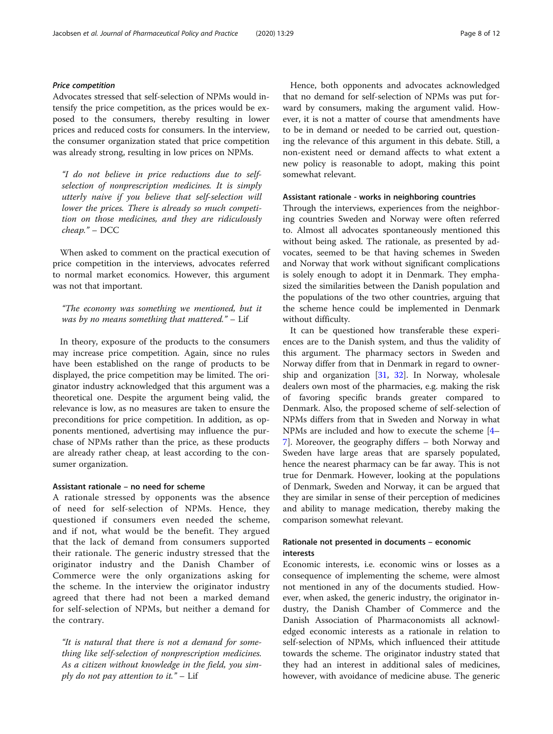## Price competition

Advocates stressed that self-selection of NPMs would intensify the price competition, as the prices would be exposed to the consumers, thereby resulting in lower prices and reduced costs for consumers. In the interview, the consumer organization stated that price competition was already strong, resulting in low prices on NPMs.

"I do not believe in price reductions due to selfselection of nonprescription medicines. It is simply utterly naive if you believe that self-selection will lower the prices. There is already so much competition on those medicines, and they are ridiculously cheap." – DCC

When asked to comment on the practical execution of price competition in the interviews, advocates referred to normal market economics. However, this argument was not that important.

"The economy was something we mentioned, but it was by no means something that mattered." - Lif

In theory, exposure of the products to the consumers may increase price competition. Again, since no rules have been established on the range of products to be displayed, the price competition may be limited. The originator industry acknowledged that this argument was a theoretical one. Despite the argument being valid, the relevance is low, as no measures are taken to ensure the preconditions for price competition. In addition, as opponents mentioned, advertising may influence the purchase of NPMs rather than the price, as these products are already rather cheap, at least according to the consumer organization.

## Assistant rationale – no need for scheme

A rationale stressed by opponents was the absence of need for self-selection of NPMs. Hence, they questioned if consumers even needed the scheme, and if not, what would be the benefit. They argued that the lack of demand from consumers supported their rationale. The generic industry stressed that the originator industry and the Danish Chamber of Commerce were the only organizations asking for the scheme. In the interview the originator industry agreed that there had not been a marked demand for self-selection of NPMs, but neither a demand for the contrary.

"It is natural that there is not a demand for something like self-selection of nonprescription medicines. As a citizen without knowledge in the field, you simply do not pay attention to it."  $-$  Lif

Hence, both opponents and advocates acknowledged that no demand for self-selection of NPMs was put forward by consumers, making the argument valid. However, it is not a matter of course that amendments have to be in demand or needed to be carried out, questioning the relevance of this argument in this debate. Still, a non-existent need or demand affects to what extent a new policy is reasonable to adopt, making this point somewhat relevant.

#### Assistant rationale - works in neighboring countries

Through the interviews, experiences from the neighboring countries Sweden and Norway were often referred to. Almost all advocates spontaneously mentioned this without being asked. The rationale, as presented by advocates, seemed to be that having schemes in Sweden and Norway that work without significant complications is solely enough to adopt it in Denmark. They emphasized the similarities between the Danish population and the populations of the two other countries, arguing that the scheme hence could be implemented in Denmark without difficulty.

It can be questioned how transferable these experiences are to the Danish system, and thus the validity of this argument. The pharmacy sectors in Sweden and Norway differ from that in Denmark in regard to ownership and organization [\[31](#page-11-0), [32\]](#page-11-0). In Norway, wholesale dealers own most of the pharmacies, e.g. making the risk of favoring specific brands greater compared to Denmark. Also, the proposed scheme of self-selection of NPMs differs from that in Sweden and Norway in what NPMs are included and how to execute the scheme [[4](#page-10-0)– [7\]](#page-10-0). Moreover, the geography differs – both Norway and Sweden have large areas that are sparsely populated, hence the nearest pharmacy can be far away. This is not true for Denmark. However, looking at the populations of Denmark, Sweden and Norway, it can be argued that they are similar in sense of their perception of medicines and ability to manage medication, thereby making the comparison somewhat relevant.

## Rationale not presented in documents – economic interests

Economic interests, i.e. economic wins or losses as a consequence of implementing the scheme, were almost not mentioned in any of the documents studied. However, when asked, the generic industry, the originator industry, the Danish Chamber of Commerce and the Danish Association of Pharmaconomists all acknowledged economic interests as a rationale in relation to self-selection of NPMs, which influenced their attitude towards the scheme. The originator industry stated that they had an interest in additional sales of medicines, however, with avoidance of medicine abuse. The generic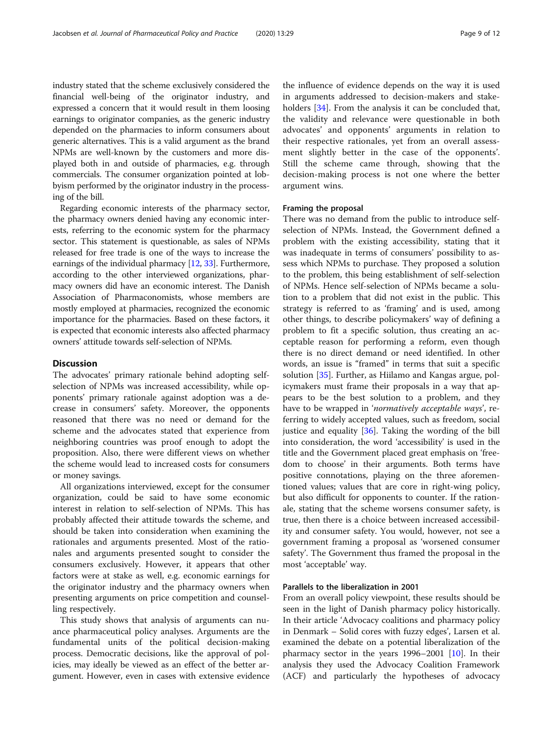industry stated that the scheme exclusively considered the financial well-being of the originator industry, and expressed a concern that it would result in them loosing earnings to originator companies, as the generic industry depended on the pharmacies to inform consumers about generic alternatives. This is a valid argument as the brand NPMs are well-known by the customers and more displayed both in and outside of pharmacies, e.g. through commercials. The consumer organization pointed at lobbyism performed by the originator industry in the processing of the bill.

Regarding economic interests of the pharmacy sector, the pharmacy owners denied having any economic interests, referring to the economic system for the pharmacy sector. This statement is questionable, as sales of NPMs released for free trade is one of the ways to increase the earnings of the individual pharmacy [[12](#page-10-0), [33\]](#page-11-0). Furthermore, according to the other interviewed organizations, pharmacy owners did have an economic interest. The Danish Association of Pharmaconomists, whose members are mostly employed at pharmacies, recognized the economic importance for the pharmacies. Based on these factors, it is expected that economic interests also affected pharmacy owners' attitude towards self-selection of NPMs.

## **Discussion**

The advocates' primary rationale behind adopting selfselection of NPMs was increased accessibility, while opponents' primary rationale against adoption was a decrease in consumers' safety. Moreover, the opponents reasoned that there was no need or demand for the scheme and the advocates stated that experience from neighboring countries was proof enough to adopt the proposition. Also, there were different views on whether the scheme would lead to increased costs for consumers or money savings.

All organizations interviewed, except for the consumer organization, could be said to have some economic interest in relation to self-selection of NPMs. This has probably affected their attitude towards the scheme, and should be taken into consideration when examining the rationales and arguments presented. Most of the rationales and arguments presented sought to consider the consumers exclusively. However, it appears that other factors were at stake as well, e.g. economic earnings for the originator industry and the pharmacy owners when presenting arguments on price competition and counselling respectively.

This study shows that analysis of arguments can nuance pharmaceutical policy analyses. Arguments are the fundamental units of the political decision-making process. Democratic decisions, like the approval of policies, may ideally be viewed as an effect of the better argument. However, even in cases with extensive evidence

the influence of evidence depends on the way it is used in arguments addressed to decision-makers and stake-holders [\[34](#page-11-0)]. From the analysis it can be concluded that, the validity and relevance were questionable in both advocates' and opponents' arguments in relation to their respective rationales, yet from an overall assessment slightly better in the case of the opponents'. Still the scheme came through, showing that the decision-making process is not one where the better argument wins.

#### Framing the proposal

There was no demand from the public to introduce selfselection of NPMs. Instead, the Government defined a problem with the existing accessibility, stating that it was inadequate in terms of consumers' possibility to assess which NPMs to purchase. They proposed a solution to the problem, this being establishment of self-selection of NPMs. Hence self-selection of NPMs became a solution to a problem that did not exist in the public. This strategy is referred to as 'framing' and is used, among other things, to describe policymakers' way of defining a problem to fit a specific solution, thus creating an acceptable reason for performing a reform, even though there is no direct demand or need identified. In other words, an issue is "framed" in terms that suit a specific solution [[35\]](#page-11-0). Further, as Hiilamo and Kangas argue, policymakers must frame their proposals in a way that appears to be the best solution to a problem, and they have to be wrapped in 'normatively acceptable ways', referring to widely accepted values, such as freedom, social justice and equality [\[36](#page-11-0)]. Taking the wording of the bill into consideration, the word 'accessibility' is used in the title and the Government placed great emphasis on 'freedom to choose' in their arguments. Both terms have positive connotations, playing on the three aforementioned values; values that are core in right-wing policy, but also difficult for opponents to counter. If the rationale, stating that the scheme worsens consumer safety, is true, then there is a choice between increased accessibility and consumer safety. You would, however, not see a government framing a proposal as 'worsened consumer safety'. The Government thus framed the proposal in the most 'acceptable' way.

## Parallels to the liberalization in 2001

From an overall policy viewpoint, these results should be seen in the light of Danish pharmacy policy historically. In their article 'Advocacy coalitions and pharmacy policy in Denmark – Solid cores with fuzzy edges', Larsen et al. examined the debate on a potential liberalization of the pharmacy sector in the years 1996–2001 [\[10](#page-10-0)]. In their analysis they used the Advocacy Coalition Framework (ACF) and particularly the hypotheses of advocacy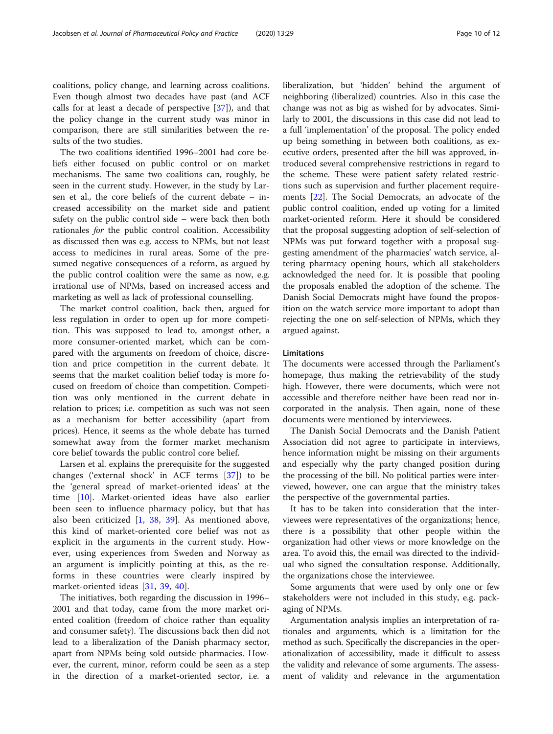coalitions, policy change, and learning across coalitions. Even though almost two decades have past (and ACF calls for at least a decade of perspective  $[37]$ , and that the policy change in the current study was minor in comparison, there are still similarities between the results of the two studies.

The two coalitions identified 1996–2001 had core beliefs either focused on public control or on market mechanisms. The same two coalitions can, roughly, be seen in the current study. However, in the study by Larsen et al., the core beliefs of the current debate – increased accessibility on the market side and patient safety on the public control side – were back then both rationales for the public control coalition. Accessibility as discussed then was e.g. access to NPMs, but not least access to medicines in rural areas. Some of the presumed negative consequences of a reform, as argued by the public control coalition were the same as now, e.g. irrational use of NPMs, based on increased access and marketing as well as lack of professional counselling.

The market control coalition, back then, argued for less regulation in order to open up for more competition. This was supposed to lead to, amongst other, a more consumer-oriented market, which can be compared with the arguments on freedom of choice, discretion and price competition in the current debate. It seems that the market coalition belief today is more focused on freedom of choice than competition. Competition was only mentioned in the current debate in relation to prices; i.e. competition as such was not seen as a mechanism for better accessibility (apart from prices). Hence, it seems as the whole debate has turned somewhat away from the former market mechanism core belief towards the public control core belief.

Larsen et al. explains the prerequisite for the suggested changes ('external shock' in ACF terms [\[37](#page-11-0)]) to be the 'general spread of market-oriented ideas' at the time [\[10](#page-10-0)]. Market-oriented ideas have also earlier been seen to influence pharmacy policy, but that has also been criticized [[1,](#page-10-0) [38](#page-11-0), [39](#page-11-0)]. As mentioned above, this kind of market-oriented core belief was not as explicit in the arguments in the current study. However, using experiences from Sweden and Norway as an argument is implicitly pointing at this, as the reforms in these countries were clearly inspired by market-oriented ideas [\[31](#page-11-0), [39](#page-11-0), [40\]](#page-11-0).

The initiatives, both regarding the discussion in 1996– 2001 and that today, came from the more market oriented coalition (freedom of choice rather than equality and consumer safety). The discussions back then did not lead to a liberalization of the Danish pharmacy sector, apart from NPMs being sold outside pharmacies. However, the current, minor, reform could be seen as a step in the direction of a market-oriented sector, i.e. a liberalization, but 'hidden' behind the argument of neighboring (liberalized) countries. Also in this case the change was not as big as wished for by advocates. Similarly to 2001, the discussions in this case did not lead to a full 'implementation' of the proposal. The policy ended up being something in between both coalitions, as executive orders, presented after the bill was approved, introduced several comprehensive restrictions in regard to the scheme. These were patient safety related restrictions such as supervision and further placement requirements [[22](#page-11-0)]. The Social Democrats, an advocate of the public control coalition, ended up voting for a limited market-oriented reform. Here it should be considered that the proposal suggesting adoption of self-selection of NPMs was put forward together with a proposal suggesting amendment of the pharmacies' watch service, altering pharmacy opening hours, which all stakeholders acknowledged the need for. It is possible that pooling the proposals enabled the adoption of the scheme. The Danish Social Democrats might have found the proposition on the watch service more important to adopt than rejecting the one on self-selection of NPMs, which they argued against.

## Limitations

The documents were accessed through the Parliament's homepage, thus making the retrievability of the study high. However, there were documents, which were not accessible and therefore neither have been read nor incorporated in the analysis. Then again, none of these documents were mentioned by interviewees.

The Danish Social Democrats and the Danish Patient Association did not agree to participate in interviews, hence information might be missing on their arguments and especially why the party changed position during the processing of the bill. No political parties were interviewed, however, one can argue that the ministry takes the perspective of the governmental parties.

It has to be taken into consideration that the interviewees were representatives of the organizations; hence, there is a possibility that other people within the organization had other views or more knowledge on the area. To avoid this, the email was directed to the individual who signed the consultation response. Additionally, the organizations chose the interviewee.

Some arguments that were used by only one or few stakeholders were not included in this study, e.g. packaging of NPMs.

Argumentation analysis implies an interpretation of rationales and arguments, which is a limitation for the method as such. Specifically the discrepancies in the operationalization of accessibility, made it difficult to assess the validity and relevance of some arguments. The assessment of validity and relevance in the argumentation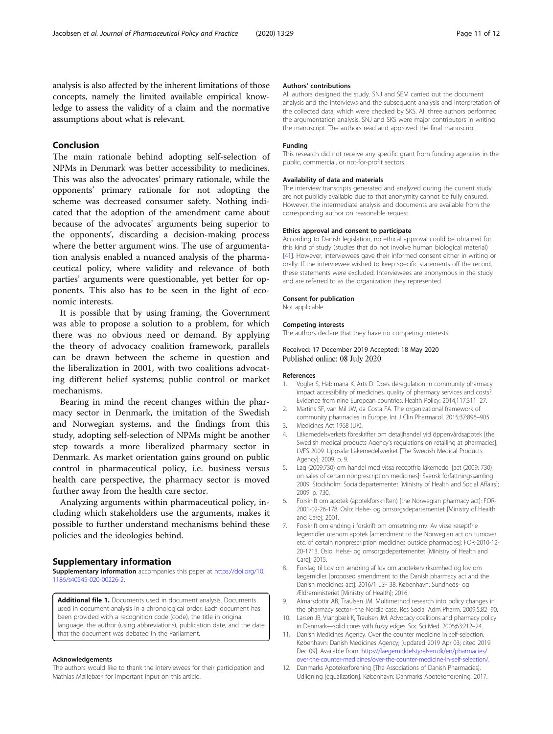<span id="page-10-0"></span>analysis is also affected by the inherent limitations of those concepts, namely the limited available empirical knowledge to assess the validity of a claim and the normative assumptions about what is relevant.

## Conclusion

The main rationale behind adopting self-selection of NPMs in Denmark was better accessibility to medicines. This was also the advocates' primary rationale, while the opponents' primary rationale for not adopting the scheme was decreased consumer safety. Nothing indicated that the adoption of the amendment came about because of the advocates' arguments being superior to the opponents', discarding a decision-making process where the better argument wins. The use of argumentation analysis enabled a nuanced analysis of the pharmaceutical policy, where validity and relevance of both parties' arguments were questionable, yet better for opponents. This also has to be seen in the light of economic interests.

It is possible that by using framing, the Government was able to propose a solution to a problem, for which there was no obvious need or demand. By applying the theory of advocacy coalition framework, parallels can be drawn between the scheme in question and the liberalization in 2001, with two coalitions advocating different belief systems; public control or market mechanisms.

Bearing in mind the recent changes within the pharmacy sector in Denmark, the imitation of the Swedish and Norwegian systems, and the findings from this study, adopting self-selection of NPMs might be another step towards a more liberalized pharmacy sector in Denmark. As market orientation gains ground on public control in pharmaceutical policy, i.e. business versus health care perspective, the pharmacy sector is moved further away from the health care sector.

Analyzing arguments within pharmaceutical policy, including which stakeholders use the arguments, makes it possible to further understand mechanisms behind these policies and the ideologies behind.

#### Supplementary information

Supplementary information accompanies this paper at [https://doi.org/10.](https://doi.org/10.1186/s40545-020-00226-2) [1186/s40545-020-00226-2](https://doi.org/10.1186/s40545-020-00226-2).

Additional file 1. Documents used in document analysis. Documents used in document analysis in a chronological order. Each document has been provided with a recognition code (code), the title in original language, the author (using abbreviations), publication date, and the date that the document was debated in the Parliament.

#### Acknowledgements

The authors would like to thank the interviewees for their participation and Mathias Møllebæk for important input on this article.

#### Authors' contributions

All authors designed the study. SNJ and SEM carried out the document analysis and the interviews and the subsequent analysis and interpretation of the collected data, which were checked by SKS. All three authors performed the argumentation analysis. SNJ and SKS were major contributors in writing the manuscript. The authors read and approved the final manuscript.

#### Funding

This research did not receive any specific grant from funding agencies in the public, commercial, or not-for-profit sectors.

#### Availability of data and materials

The interview transcripts generated and analyzed during the current study are not publicly available due to that anonymity cannot be fully ensured. However, the intermediate analysis and documents are available from the corresponding author on reasonable request.

#### Ethics approval and consent to participate

According to Danish legislation, no ethical approval could be obtained for this kind of study (studies that do not involve human biological material) [[41\]](#page-11-0). However, interviewees gave their informed consent either in writing or orally. If the interviewee wished to keep specific statements off the record, these statements were excluded. Interviewees are anonymous in the study and are referred to as the organization they represented.

#### Consent for publication

Not applicable.

#### Competing interests

The authors declare that they have no competing interests.

## Received: 17 December 2019 Accepted: 18 May 2020 Published online: 08 July 2020

#### References

- 1. Vogler S, Habimana K, Arts D. Does deregulation in community pharmacy impact accessibility of medicines, quality of pharmacy services and costs? Evidence from nine European countries. Health Policy. 2014;117:311–27.
- 2. Martins SF, van Mil JW, da Costa FA. The organizational framework of community pharmacies in Europe. Int J Clin Pharmacol. 2015;37:896–905.
- 3. Medicines Act 1968 (UK).
- 4. Läkemedelsverkets föreskrifter om detaljhandel vid öppenvårdsapotek [the Swedish medical products Agency's regulations on retailing at pharmacies]: LVFS 2009. Uppsala: Läkemedelsverket [The Swedish Medical Products Agency]; 2009. p. 9.
- 5. Lag (2009:730) om handel med vissa receptfria läkemedel [act (2009: 730) on sales of certain nonprescription medicines]: Svensk författningssamling 2009. Stockholm: Socialdepartementet [Ministry of Health and Social Affairs]; 2009. p. 730.
- 6. Forskrift om apotek (apotekforskriften) [the Norwegian pharmacy act]: FOR-2001-02-26-178. Oslo: Helse- og omsorgsdepartementet [Ministry of Health and Care]; 2001.
- 7. Forskrift om endring i forskrift om omsetning mv. Av visse reseptfrie legemidler utenom apotek [amendment to the Norwegian act on turnover etc. of certain nonprescription medicines outside pharmacies]: FOR-2010-12- 20-1713. Oslo: Helse- og omsorgsdepartementet [Ministry of Health and Care]; 2015.
- 8. Forslag til Lov om ændring af lov om apotekervirksomhed og lov om lægemidler [proposed amendment to the Danish pharmacy act and the Danish medicines act]: 2016/1 LSF 38. København: Sundheds- og Ældreministeriet [Ministry of Health]; 2016.
- 9. Almarsdottir AB, Traulsen JM. Multimethod research into policy changes in the pharmacy sector--the Nordic case. Res Social Adm Pharm. 2009;5:82–90.
- 10. Larsen JB, Vrangbæk K, Traulsen JM. Advocacy coalitions and pharmacy policy in Denmark—solid cores with fuzzy edges. Soc Sci Med. 2006;63:212–24.
- 11. Danish Medicines Agency. Over the counter medicine in self-selection. København: Danish Medicines Agency; [updated 2019 Apr 03; cited 2019 Dec 09]. Available from: [https://laegemiddelstyrelsen.dk/en/pharmacies/](https://laegemiddelstyrelsen.dk/en/pharmacies/over-the-counter-medicines/over-the-counter-medicine-in-self-selection/) [over-the-counter-medicines/over-the-counter-medicine-in-self-selection/](https://laegemiddelstyrelsen.dk/en/pharmacies/over-the-counter-medicines/over-the-counter-medicine-in-self-selection/).
- 12. Danmarks Apotekerforening [The Associations of Danish Pharmacies]. Udligning [equalization]. København: Danmarks Apotekerforening; 2017.